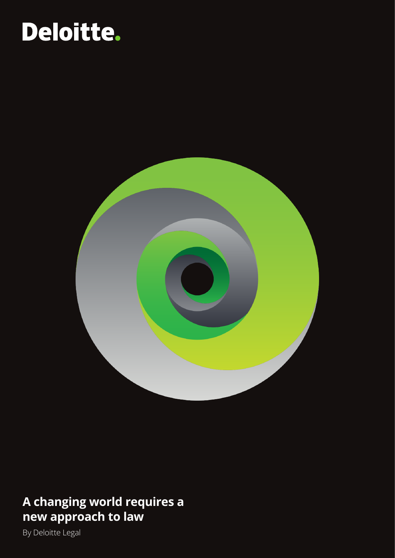### Deloitte.



### **A changing world requires a new approach to law**

By Deloitte Legal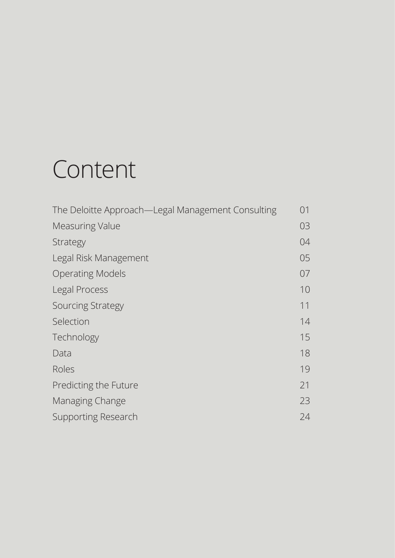### Content

| The Deloitte Approach—Legal Management Consulting | 01 |
|---------------------------------------------------|----|
| <b>Measuring Value</b>                            | 03 |
| Strategy                                          | 04 |
| Legal Risk Management                             | 05 |
| <b>Operating Models</b>                           | 07 |
| Legal Process                                     | 10 |
| <b>Sourcing Strategy</b>                          | 11 |
| Selection                                         | 14 |
| Technology                                        | 15 |
| Data                                              | 18 |
| Roles                                             | 19 |
| Predicting the Future                             | 21 |
| Managing Change                                   | 23 |
| <b>Supporting Research</b>                        | 24 |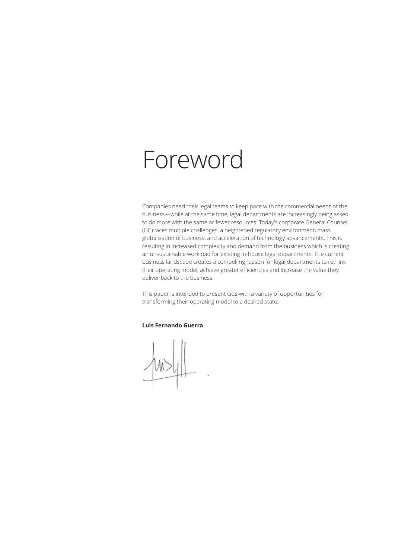### Foreword

Companies need their legal teams to keep pace with the commercial needs of the business—while at the same time, legal departments are increasingly being asked to do more with the same or fewer resources. Today's corporate General Counsel (GC) faces multiple challenges: a heightened regulatory environment, mass globalisation of business, and acceleration of technology advancements. This is resulting in increased complexity and demand from the business which is creating an unsustainable workload for existing in-house legal departments. The current business landscape creates a compelling reason for legal departments to rethink their operating model, achieve greater efficiencies and increase the value they deliver back to the business.

This paper is intended to present GCs with a variety of opportunities for transforming their operating model to a desired state.

#### **Luis Fernando Guerra**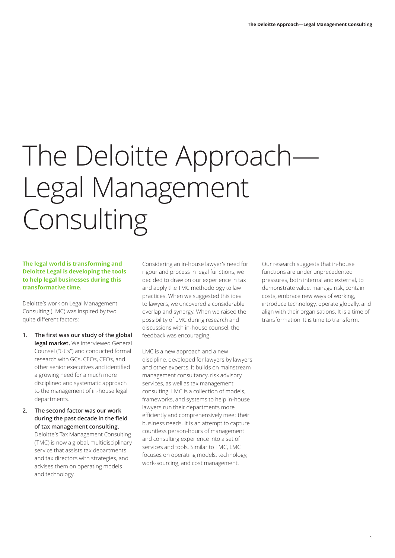# The Deloitte Approach-Legal Management Consulting

#### **The legal world is transforming and Deloitte Legal is developing the tools to help legal businesses during this transformative time.**

Deloitte's work on Legal Management Consulting (LMC) was inspired by two quite different factors:

- **1. The first was our study of the global legal market.** We interviewed General Counsel ("GCs") and conducted formal research with GCs, CEOs, CFOs, and other senior executives and identified a growing need for a much more disciplined and systematic approach to the management of in-house legal departments.
- **2. The second factor was our work during the past decade in the field of tax management consulting.** Deloitte's Tax Management Consulting (TMC) is now a global, multidisciplinary service that assists tax departments and tax directors with strategies, and advises them on operating models and technology.

Considering an in-house lawyer's need for rigour and process in legal functions, we decided to draw on our experience in tax and apply the TMC methodology to law practices. When we suggested this idea to lawyers, we uncovered a considerable overlap and synergy. When we raised the possibility of LMC during research and discussions with in-house counsel, the feedback was encouraging.

LMC is a new approach and a new discipline, developed for lawyers by lawyers and other experts. It builds on mainstream management consultancy, risk advisory services, as well as tax management consulting. LMC is a collection of models, frameworks, and systems to help in-house lawyers run their departments more efficiently and comprehensively meet their business needs. It is an attempt to capture countless person-hours of management and consulting experience into a set of services and tools. Similar to TMC, LMC focuses on operating models, technology, work-sourcing, and cost management.

Our research suggests that in-house functions are under unprecedented pressures, both internal and external, to demonstrate value, manage risk, contain costs, embrace new ways of working, introduce technology, operate globally, and align with their organisations. It is a time of transformation. It is time to transform.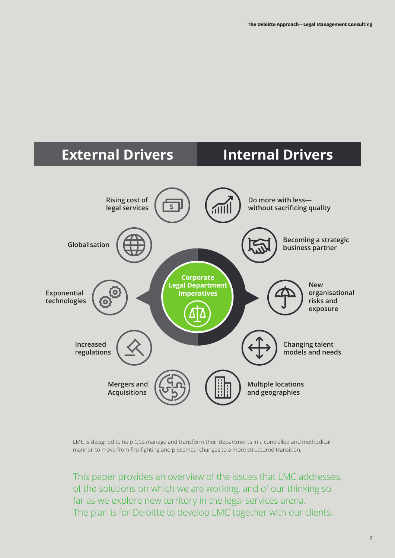

LMC is designed to help GCs manage and transform their departments in a controlled and methodical manner, to move from fire-fighting and piecemeal changes to a more structured transition.

This paper provides an overview of the issues that LMC addresses, of the solutions on which we are working, and of our thinking so far as we explore new territory in the legal services arena. The plan is for Deloitte to develop LMC together with our clients.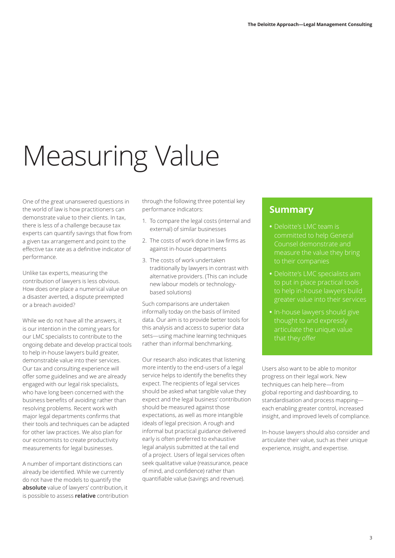# Measuring Value

One of the great unanswered questions in the world of law is how practitioners can demonstrate value to their clients. In tax, there is less of a challenge because tax experts can quantify savings that flow from a given tax arrangement and point to the effective tax rate as a definitive indicator of performance.

Unlike tax experts, measuring the contribution of lawyers is less obvious. How does one place a numerical value on a disaster averted, a dispute preempted or a breach avoided?

While we do not have all the answers, it is our intention in the coming years for our LMC specialists to contribute to the ongoing debate and develop practical tools to help in-house lawyers build greater, demonstrable value into their services. Our tax and consulting experience will offer some guidelines and we are already engaged with our legal risk specialists, who have long been concerned with the business benefits of avoiding rather than resolving problems. Recent work with major legal departments confirms that their tools and techniques can be adapted for other law practices. We also plan for our economists to create productivity measurements for legal businesses.

A number of important distinctions can already be identified. While we currently do not have the models to quantify the **absolute** value of lawyers' contribution, it is possible to assess **relative** contribution through the following three potential key performance indicators:

- 1. To compare the legal costs (internal and external) of similar businesses
- 2. The costs of work done in law firms as against in-house departments
- 3. The costs of work undertaken traditionally by lawyers in contrast with alternative providers. (This can include new labour models or technologybased solutions)

Such comparisons are undertaken informally today on the basis of limited data. Our aim is to provide better tools for this analysis and access to superior data sets—using machine learning techniques rather than informal benchmarking.

Our research also indicates that listening more intently to the end-users of a legal service helps to identify the benefits they expect. The recipients of legal services should be asked what tangible value they expect and the legal business' contribution should be measured against those expectations, as well as more intangible ideals of legal precision. A rough and informal but practical guidance delivered early is often preferred to exhaustive legal analysis submitted at the tail end of a project. Users of legal services often seek qualitative value (reassurance, peace of mind, and confidence) rather than quantifiable value (savings and revenue).

#### **Summary**

- **•** Deloitte's LMC team is Counsel demonstrate and measure the value they bring
- **•** Deloitte's LMC specialists aim
- thought to and expressly

Users also want to be able to monitor progress on their legal work. New techniques can help here—from global reporting and dashboarding, to standardisation and process mapping each enabling greater control, increased insight, and improved levels of compliance.

In-house lawyers should also consider and articulate their value, such as their unique experience, insight, and expertise.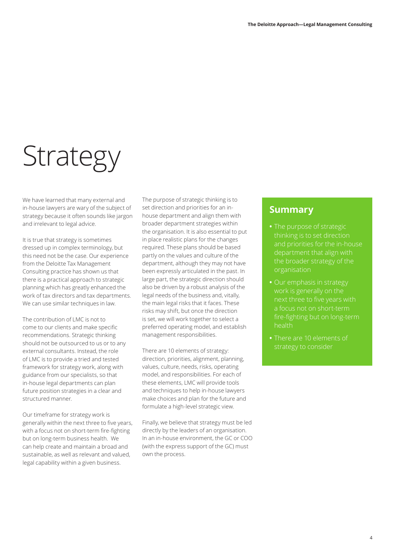## **Strategy**

We have learned that many external and in-house lawyers are wary of the subject of strategy because it often sounds like jargon and irrelevant to legal advice.

It is true that strategy is sometimes dressed up in complex terminology, but this need not be the case. Our experience from the Deloitte Tax Management Consulting practice has shown us that there is a practical approach to strategic planning which has greatly enhanced the work of tax directors and tax departments. We can use similar techniques in law.

The contribution of LMC is not to come to our clients and make specific recommendations. Strategic thinking should not be outsourced to us or to any external consultants. Instead, the role of LMC is to provide a tried and tested framework for strategy work, along with guidance from our specialists, so that in-house legal departments can plan future position strategies in a clear and structured manner.

Our timeframe for strategy work is generally within the next three to five years, with a focus not on short-term fire-fighting but on long-term business health. We can help create and maintain a broad and sustainable, as well as relevant and valued, legal capability within a given business.

The purpose of strategic thinking is to set direction and priorities for an inhouse department and align them with broader department strategies within the organisation. It is also essential to put in place realistic plans for the changes required. These plans should be based partly on the values and culture of the department, although they may not have been expressly articulated in the past. In large part, the strategic direction should also be driven by a robust analysis of the legal needs of the business and, vitally, the main legal risks that it faces. These risks may shift, but once the direction is set, we will work together to select a preferred operating model, and establish management responsibilities.

There are 10 elements of strategy: direction, priorities, alignment, planning, values, culture, needs, risks, operating model, and responsibilities. For each of these elements, LMC will provide tools and techniques to help in-house lawyers make choices and plan for the future and formulate a high-level strategic view.

Finally, we believe that strategy must be led directly by the leaders of an organisation. In an in-house environment, the GC or COO (with the express support of the GC) must own the process.

- **•** The purpose of strategic and priorities for the in-house department that align with the broader strategy of the organisation
- **•** Our emphasis in strategy next three to five years with health
- **•** There are 10 elements of strategy to consider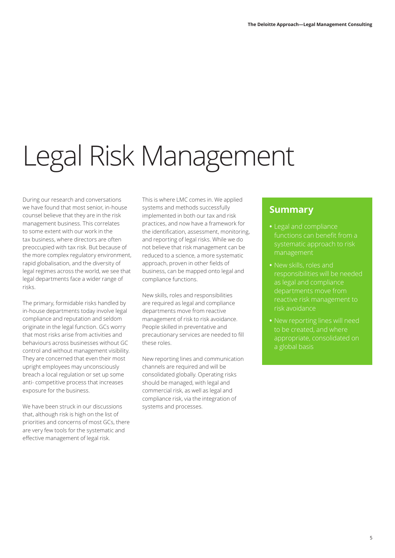# Legal Risk Management

During our research and conversations we have found that most senior, in-house counsel believe that they are in the risk management business. This correlates to some extent with our work in the tax business, where directors are often preoccupied with tax risk. But because of the more complex regulatory environment, rapid globalisation, and the diversity of legal regimes across the world, we see that legal departments face a wider range of risks.

The primary, formidable risks handled by in-house departments today involve legal compliance and reputation and seldom originate in the legal function. GCs worry that most risks arise from activities and behaviours across businesses without GC control and without management visibility. They are concerned that even their most upright employees may unconsciously breach a local regulation or set up some anti- competitive process that increases exposure for the business.

We have been struck in our discussions that, although risk is high on the list of priorities and concerns of most GCs, there are very few tools for the systematic and effective management of legal risk.

This is where LMC comes in. We applied systems and methods successfully implemented in both our tax and risk practices, and now have a framework for the identification, assessment, monitoring, and reporting of legal risks. While we do not believe that risk management can be reduced to a science, a more systematic approach, proven in other fields of business, can be mapped onto legal and compliance functions.

New skills, roles and responsibilities are required as legal and compliance departments move from reactive management of risk to risk avoidance. People skilled in preventative and precautionary services are needed to fill these roles.

New reporting lines and communication channels are required and will be consolidated globally. Operating risks should be managed, with legal and commercial risk, as well as legal and compliance risk, via the integration of systems and processes.

- **•** Legal and compliance systematic approach to risk management
- **•** New skills, roles and responsibilities will be needed as legal and compliance reactive risk management to
- to be created, and where appropriate, consolidated on a global basis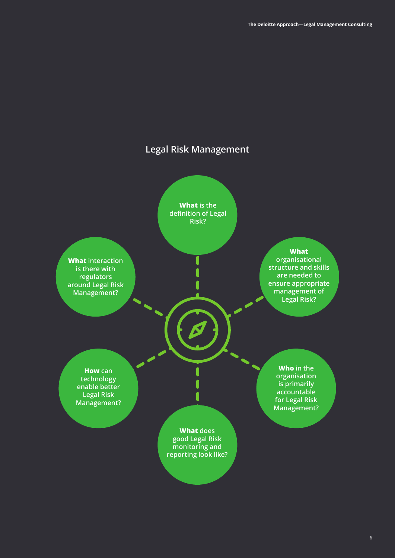### **Legal Risk Management**

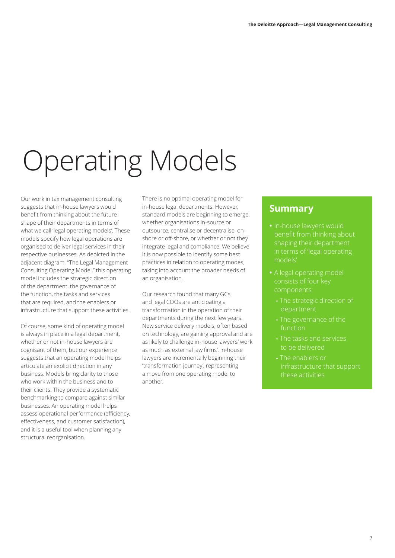# Operating Models

Our work in tax management consulting suggests that in-house lawyers would benefit from thinking about the future shape of their departments in terms of what we call 'legal operating models'. These models specify how legal operations are organised to deliver legal services in their respective businesses. As depicted in the adjacent diagram, "The Legal Management Consulting Operating Model," this operating model includes the strategic direction of the department, the governance of the function, the tasks and services that are required, and the enablers or infrastructure that support these activities.

Of course, some kind of operating model is always in place in a legal department, whether or not in-house lawyers are cognisant of them, but our experience suggests that an operating model helps articulate an explicit direction in any business. Models bring clarity to those who work within the business and to their clients. They provide a systematic benchmarking to compare against similar businesses. An operating model helps assess operational performance (efficiency, effectiveness, and customer satisfaction), and it is a useful tool when planning any structural reorganisation.

There is no optimal operating model for in-house legal departments. However, standard models are beginning to emerge, whether organisations in-source or outsource, centralise or decentralise, onshore or off-shore, or whether or not they integrate legal and compliance. We believe it is now possible to identify some best practices in relation to operating modes, taking into account the broader needs of an organisation.

Our research found that many GCs and legal COOs are anticipating a transformation in the operation of their departments during the next few years. New service delivery models, often based on technology, are gaining approval and are as likely to challenge in-house lawyers' work as much as external law firms'. In-house lawyers are incrementally beginning their 'transformation journey', representing a move from one operating model to another.

- **•** In-house lawyers would shaping their department in terms of 'legal operating models'
- **•** A legal operating model consists of four key components:
	- The strategic direction of department
	-
	- The tasks and services to be delivered
	- The enablers or infrastructure that support these activities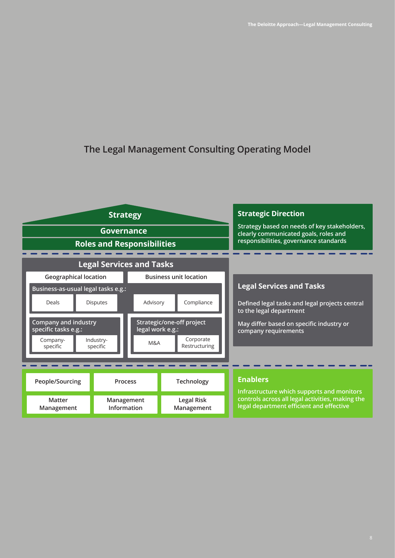### **The Legal Management Consulting Operating Model**

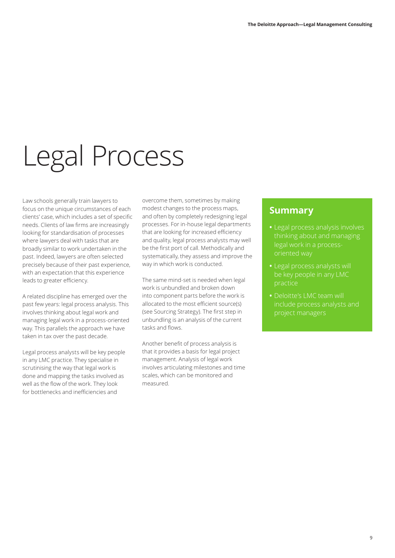## Legal Process

Law schools generally train lawyers to focus on the unique circumstances of each clients' case, which includes a set of specific needs. Clients of law firms are increasingly looking for standardisation of processes where lawyers deal with tasks that are broadly similar to work undertaken in the past. Indeed, lawyers are often selected precisely because of their past experience, with an expectation that this experience leads to greater efficiency.

A related discipline has emerged over the past few years: legal process analysis. This involves thinking about legal work and managing legal work in a process-oriented way. This parallels the approach we have taken in tax over the past decade.

Legal process analysts will be key people in any LMC practice. They specialise in scrutinising the way that legal work is done and mapping the tasks involved as well as the flow of the work. They look for bottlenecks and inefficiencies and

overcome them, sometimes by making modest changes to the process maps, and often by completely redesigning legal processes. For in-house legal departments that are looking for increased efficiency and quality, legal process analysts may well be the first port of call. Methodically and systematically, they assess and improve the way in which work is conducted.

The same mind-set is needed when legal work is unbundled and broken down into component parts before the work is allocated to the most efficient source(s) (see Sourcing Strategy). The first step in unbundling is an analysis of the current tasks and flows.

Another benefit of process analysis is that it provides a basis for legal project management. Analysis of legal work involves articulating milestones and time scales, which can be monitored and measured.

- **•** Legal process analysis involves thinking about and managing legal work in a processoriented way
- **•** Legal process analysts will be key people in any LMC
- **•** Deloitte's LMC team will project managers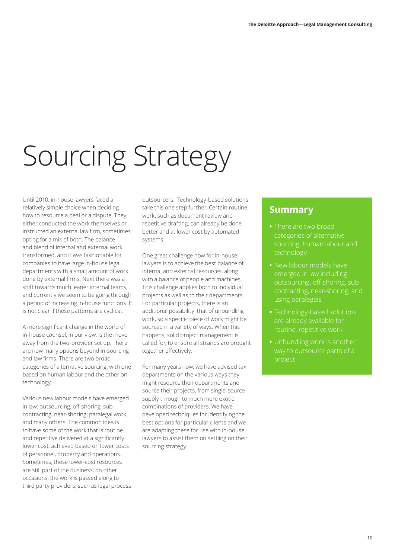# Sourcing Strategy

Until 2010, in-house lawyers faced a relatively simple choice when deciding how to resource a deal or a dispute. They either conducted the work themselves or instructed an external law firm, sometimes opting for a mix of both. The balance and blend of internal and external work transformed, and it was fashionable for companies to have large in-house legal departments with a small amount of work done by external firms. Next there was a shift towards much leaner internal teams, and currently we seem to be going through a period of increasing in-house functions. It is not clear if these patterns are cyclical.

A more significant change in the world of in-house counsel, in our view, is the move away from the two-provider set up. There are now many options beyond in-sourcing and law firms. There are two broad categories of alternative sourcing, with one based on human labour and the other on technology.

Various new labour models have emerged in law: outsourcing, off-shoring, subcontracting, near-shoring, paralegal work, and many others. The common idea is to have some of the work that is routine and repetitive delivered at a significantly lower cost, achieved based on lower costs of personnel, property and operations. Sometimes, these lower-cost resources are still part of the business; on other occasions, the work is passed along to third party providers, such as legal process outsourcers. Technology-based solutions take this one step further. Certain routine work, such as document review and repetitive drafting, can already be done better and at lower cost by automated systems.

One great challenge now for in-house lawyers is to achieve the best balance of internal and external resources, along with a balance of people and machines. This challenge applies both to individual projects as well as to their departments. For particular projects, there is an additional possibility: that of unbundling work, so a specific piece of work might be sourced in a variety of ways. When this happens, solid project management is called for, to ensure all strands are brought together effectively.

For many years now, we have advised tax departments on the various ways they might resource their departments and source their projects, from single-source supply through to much more exotic combinations of providers. We have developed techniques for identifying the best options for particular clients and we are adapting these for use with in-house lawyers to assist them on settling on their sourcing strategy.

- **•** There are two broad categories of alternative sourcing: human labour and technology
- **•** New labour models have emerged in law including: outsourcing, off-shoring, subcontracting, near-shoring, and using paralegals
- **•** Technology-based solutions are already available for
- **•** Unbundling work is another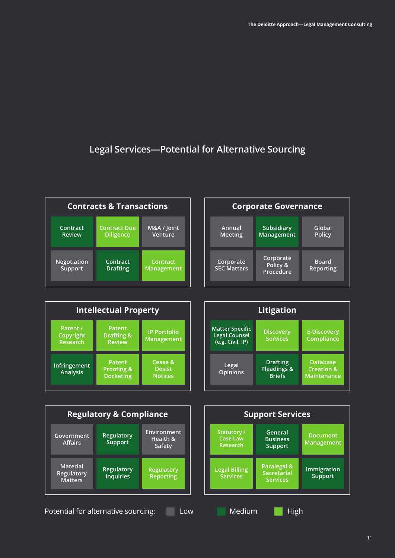### **Legal Services—Potential for Alternative Sourcing**



| <b>Intellectual Property</b>             |                                              |                                            |
|------------------------------------------|----------------------------------------------|--------------------------------------------|
| Patent /<br>Copyright<br><b>Research</b> | <b>Patent</b><br>Drafting &<br><b>Review</b> | <b>IP Portfolio</b><br>Management          |
| <b>Infringement</b><br><b>Analysis</b>   | Patent<br>Proofing &<br><b>Docketing</b>     | Cease &<br><b>Desist</b><br><b>Notices</b> |





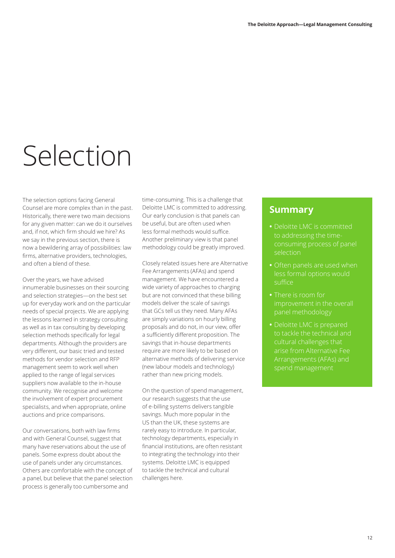## Selection

The selection options facing General Counsel are more complex than in the past. Historically, there were two main decisions for any given matter: can we do it ourselves and, if not, which firm should we hire? As we say in the previous section, there is now a bewildering array of possibilities: law firms, alternative providers, technologies, and often a blend of these.

Over the years, we have advised innumerable businesses on their sourcing and selection strategies—on the best set up for everyday work and on the particular needs of special projects. We are applying the lessons learned in strategy consulting as well as in tax consulting by developing selection methods specifically for legal departments. Although the providers are very different, our basic tried and tested methods for vendor selection and RFP management seem to work well when applied to the range of legal services suppliers now available to the in-house community. We recognise and welcome the involvement of expert procurement specialists, and when appropriate, online auctions and price comparisons.

Our conversations, both with law firms and with General Counsel, suggest that many have reservations about the use of panels. Some express doubt about the use of panels under any circumstances. Others are comfortable with the concept of a panel, but believe that the panel selection process is generally too cumbersome and

time-consuming. This is a challenge that Deloitte LMC is committed to addressing. Our early conclusion is that panels can be useful, but are often used when less formal methods would suffice. Another preliminary view is that panel methodology could be greatly improved.

Closely related issues here are Alternative Fee Arrangements (AFAs) and spend management. We have encountered a wide variety of approaches to charging but are not convinced that these billing models deliver the scale of savings that GCs tell us they need. Many AFAs are simply variations on hourly billing proposals and do not, in our view, offer a sufficiently different proposition. The savings that in-house departments require are more likely to be based on alternative methods of delivering service (new labour models and technology) rather than new pricing models.

On the question of spend management, our research suggests that the use of e-billing systems delivers tangible savings. Much more popular in the US than the UK, these systems are rarely easy to introduce. In particular, technology departments, especially in financial institutions, are often resistant to integrating the technology into their systems. Deloitte LMC is equipped to tackle the technical and cultural challenges here.

- **•** Deloitte LMC is committed consuming process of panel selection
- **•** Often panels are used when less formal options would suffice
- **•** There is room for improvement in the overall panel methodology
- **•** Deloitte LMC is prepared to tackle the technical and cultural challenges that arise from Alternative Fee Arrangements (AFAs) and spend management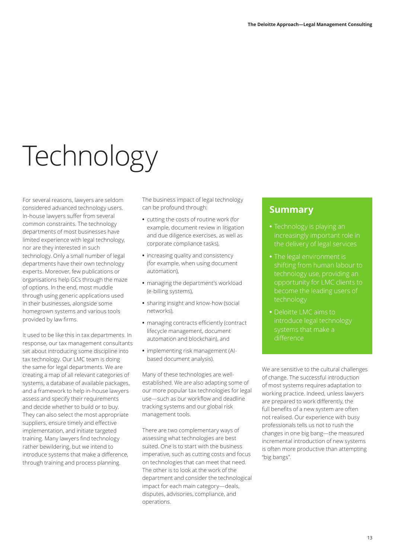# Technology

For several reasons, lawyers are seldom considered advanced technology users. In-house lawyers suffer from several common constraints. The technology departments of most businesses have limited experience with legal technology, nor are they interested in such technology. Only a small number of legal departments have their own technology experts. Moreover, few publications or organisations help GCs through the maze of options. In the end, most muddle through using generic applications used in their businesses, alongside some homegrown systems and various tools provided by law firms.

It used to be like this in tax departments. In response, our tax management consultants set about introducing some discipline into tax technology. Our LMC team is doing the same for legal departments. We are creating a map of all relevant categories of systems, a database of available packages, and a framework to help in-house lawyers assess and specify their requirements and decide whether to build or to buy. They can also select the most appropriate suppliers, ensure timely and effective implementation, and initiate targeted training. Many lawyers find technology rather bewildering, but we intend to introduce systems that make a difference, through training and process planning.

The business impact of legal technology can be profound through:

- **•** cutting the costs of routine work (for example, document review in litigation and due diligence exercises, as well as corporate compliance tasks),
- **•** increasing quality and consistency (for example, when using document automation),
- **•** managing the department's workload (e-billing systems),
- **•** sharing insight and know-how (social networks),
- **•** managing contracts efficiently (contract lifecycle management, document automation and blockchain), and
- **•** implementing risk management (AIbased document analysis).

Many of these technologies are wellestablished. We are also adapting some of our more popular tax technologies for legal use—such as our workflow and deadline tracking systems and our global risk management tools.

There are two complementary ways of assessing what technologies are best suited. One is to start with the business imperative, such as cutting costs and focus on technologies that can meet that need. The other is to look at the work of the department and consider the technological impact for each main category—deals, disputes, advisories, compliance, and operations.

### **Summary**

- **•** Technology is playing an increasingly important role in the delivery of legal services
- **•** The legal environment is technology use, providing an opportunity for LMC clients to technology
- **•** Deloitte LMC aims to introduce legal technology difference

We are sensitive to the cultural challenges of change. The successful introduction of most systems requires adaptation to working practice. Indeed, unless lawyers are prepared to work differently, the full benefits of a new system are often not realised. Our experience with busy professionals tells us not to rush the changes in one big bang—the measured incremental introduction of new systems is often more productive than attempting "big bangs".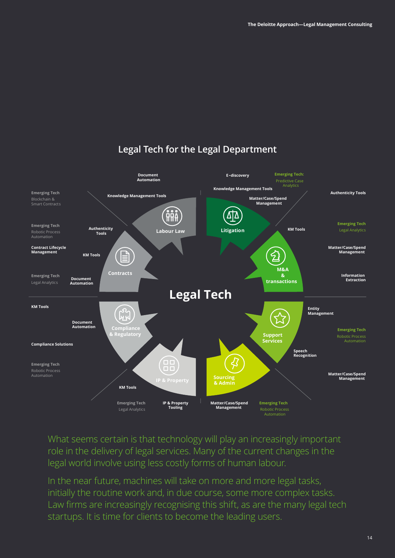

### **Legal Tech for the Legal Department**

What seems certain is that technology will play an increasingly important role in the delivery of legal services. Many of the current changes in the legal world involve using less costly forms of human labour.

In the near future, machines will take on more and more legal tasks, initially the routine work and, in due course, some more complex tasks. Law firms are increasingly recognising this shift, as are the many legal tech startups. It is time for clients to become the leading users.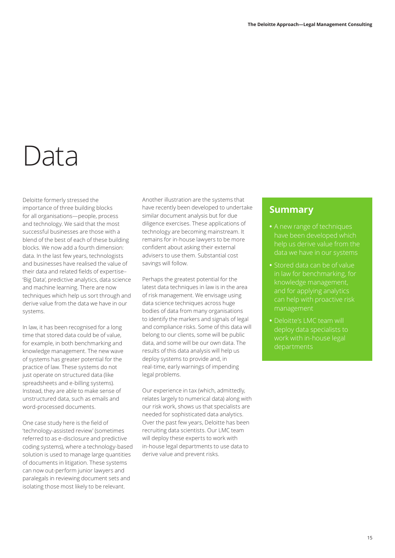## Data

Deloitte formerly stressed the importance of three building blocks for all organisations—people, process and technology. We said that the most successful businesses are those with a blend of the best of each of these building blocks. We now add a fourth dimension: data. In the last few years, technologists and businesses have realised the value of their data and related fields of expertise– 'Big Data', predictive analytics, data science and machine learning. There are now techniques which help us sort through and derive value from the data we have in our systems.

In law, it has been recognised for a long time that stored data could be of value, for example, in both benchmarking and knowledge management. The new wave of systems has greater potential for the practice of law. These systems do not just operate on structured data (like spreadsheets and e-billing systems). Instead, they are able to make sense of unstructured data, such as emails and word-processed documents.

One case study here is the field of 'technology-assisted review' (sometimes referred to as e-disclosure and predictive coding systems), where a technology-based solution is used to manage large quantities of documents in litigation. These systems can now out-perform junior lawyers and paralegals in reviewing document sets and isolating those most likely to be relevant.

Another illustration are the systems that have recently been developed to undertake similar document analysis but for due diligence exercises. These applications of technology are becoming mainstream. It remains for in-house lawyers to be more confident about asking their external advisers to use them. Substantial cost savings will follow.

Perhaps the greatest potential for the latest data techniques in law is in the area of risk management. We envisage using data science techniques across huge bodies of data from many organisations to identify the markers and signals of legal and compliance risks. Some of this data will belong to our clients, some will be public data, and some will be our own data. The results of this data analysis will help us deploy systems to provide and, in real-time, early warnings of impending legal problems.

Our experience in tax (which, admittedly, relates largely to numerical data) along with our risk work, shows us that specialists are needed for sophisticated data analytics. Over the past few years, Deloitte has been recruiting data scientists. Our LMC team will deploy these experts to work with in-house legal departments to use data to derive value and prevent risks.

- **•** A new range of techniques have been developed which help us derive value from the data we have in our systems
- **•** Stored data can be of value in law for benchmarking, for knowledge management, and for applying analytics management
- **•** Deloitte's LMC team will deploy data specialists to work with in-house legal departments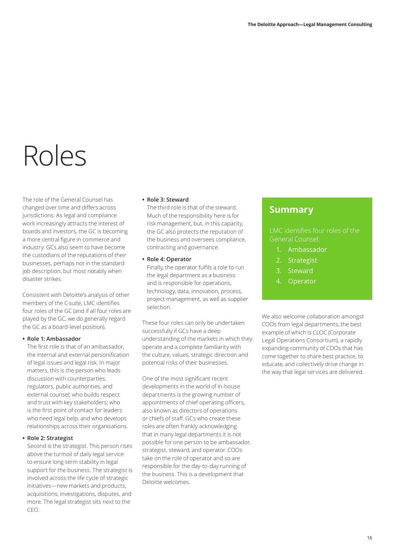## Roles

The role of the General Counsel has changed over time and differs across jurisdictions. As legal and compliance work increasingly attracts the interest of boards and investors, the GC is becoming a more central figure in commerce and industry. GCs also seem to have become the custodians of the reputations of their businesses, perhaps not in the standard job description, but most notably when disaster strikes.

Consistent with Deloitte's analysis of other members of the C-suite, LMC identifies four roles of the GC (and if all four roles are played by the GC, we do generally regard the GC as a board-level position).

#### **• Role 1: Ambassador**

The first role is that of an ambassador, the internal and external personification of legal issues and legal risk. In major matters, this is the person who leads discussion with counterparties, regulators, public authorities, and external counsel; who builds respect and trust with key stakeholders; who is the first point of contact for leaders who need legal help; and who develops relationships across their organisations.

#### **• Role 2: Strategist**

Second is the strategist. This person rises above the turmoil of daily legal service to ensure long-term stability in legal support for the business. The strategist is involved across the life cycle of strategic initiatives—new markets and products, acquisitions, investigations, disputes, and more. The legal strategist sits next to the CEO.

#### **• Role 3: Steward**

The third role is that of the steward. Much of the responsibility here is for risk management, but, in this capacity, the GC also protects the reputation of the business and oversees compliance, contracting and governance.

#### **• Role 4: Operator**

Finally, the operator fulfils a role to run the legal department as a business and is responsible for operations, technology, data, innovation, process, project management, as well as supplier selection.

These four roles can only be undertaken successfully if GCs have a deep understanding of the markets in which they operate and a complete familiarity with the culture, values, strategic direction and potential risks of their businesses.

One of the most significant recent developments in the world of in-house departments is the growing number of appointments of chief operating officers, also known as directors of operations or chiefs of staff. GCs who create these roles are often frankly acknowledging that in many legal departments it is not possible for one person to be ambassador, strategist, steward, and operator. COOs take on the role of operator and so are responsible for the day-to-day running of the business. This is a development that Deloitte welcomes.

### **Summary**

#### LMC identifies four roles of the General Counsel:

- 1. Ambassador
- 2. Strategist
- 3. Steward
- 4. Operator

We also welcome collaboration amongst COOs from legal departments, the best example of which is CLOC (Corporate Legal Operations Consortium), a rapidly expanding community of COOs that has come together to share best practice, to educate, and collectively drive change in the way that legal services are delivered.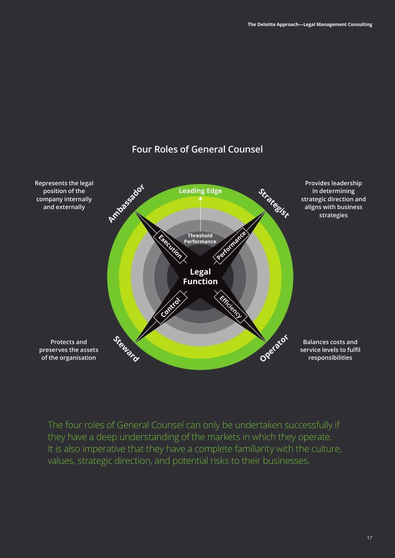

### **Four Roles of General Counsel**

The four roles of General Counsel can only be undertaken successfully if they have a deep understanding of the markets in which they operate. It is also imperative that they have a complete familiarity with the culture, values, strategic direction, and potential risks to their businesses.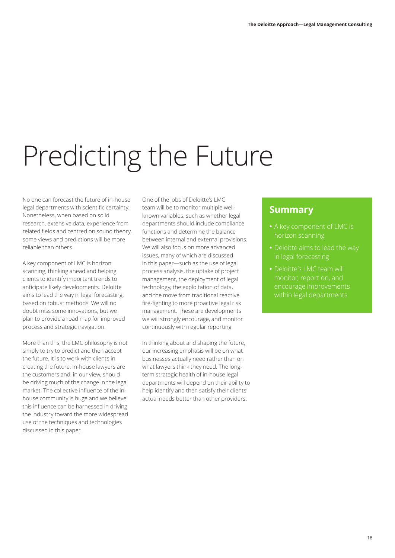# Predicting the Future

No one can forecast the future of in-house legal departments with scientific certainty. Nonetheless, when based on solid research, extensive data, experience from related fields and centred on sound theory, some views and predictions will be more reliable than others.

A key component of LMC is horizon scanning, thinking ahead and helping clients to identify important trends to anticipate likely developments. Deloitte aims to lead the way in legal forecasting, based on robust methods. We will no doubt miss some innovations, but we plan to provide a road map for improved process and strategic navigation.

More than this, the LMC philosophy is not simply to try to predict and then accept the future. It is to work with clients in creating the future. In-house lawyers are the customers and, in our view, should be driving much of the change in the legal market. The collective influence of the inhouse community is huge and we believe this influence can be harnessed in driving the industry toward the more widespread use of the techniques and technologies discussed in this paper.

One of the jobs of Deloitte's LMC team will be to monitor multiple wellknown variables, such as whether legal departments should include compliance functions and determine the balance between internal and external provisions. We will also focus on more advanced issues, many of which are discussed in this paper—such as the use of legal process analysis, the uptake of project management, the deployment of legal technology, the exploitation of data, and the move from traditional reactive fire-fighting to more proactive legal risk management. These are developments we will strongly encourage, and monitor continuously with regular reporting.

In thinking about and shaping the future, our increasing emphasis will be on what businesses actually need rather than on what lawyers think they need. The longterm strategic health of in-house legal departments will depend on their ability to help identify and then satisfy their clients' actual needs better than other providers.

- 
- in legal forecasting
- **•** Deloitte's LMC team will encourage improvements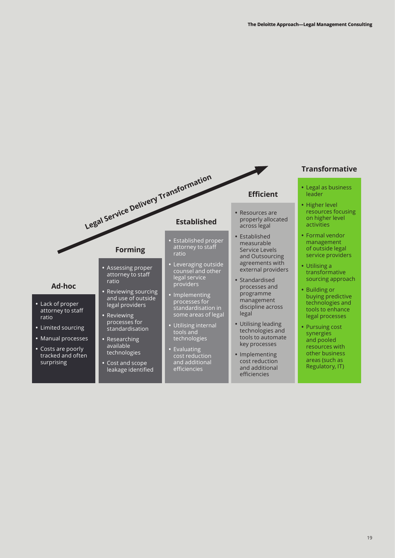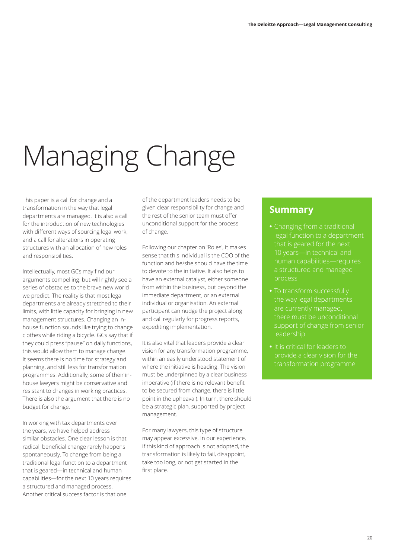# Managing Change

This paper is a call for change and a transformation in the way that legal departments are managed. It is also a call for the introduction of new technologies with different ways of sourcing legal work, and a call for alterations in operating structures with an allocation of new roles and responsibilities.

Intellectually, most GCs may find our arguments compelling, but will rightly see a series of obstacles to the brave new world we predict. The reality is that most legal departments are already stretched to their limits, with little capacity for bringing in new management structures. Changing an inhouse function sounds like trying to change clothes while riding a bicycle. GCs say that if they could press "pause" on daily functions, this would allow them to manage change. It seems there is no time for strategy and planning, and still less for transformation programmes. Additionally, some of their inhouse lawyers might be conservative and resistant to changes in working practices. There is also the argument that there is no budget for change.

In working with tax departments over the years, we have helped address similar obstacles. One clear lesson is that radical, beneficial change rarely happens spontaneously. To change from being a traditional legal function to a department that is geared—in technical and human capabilities—for the next 10 years requires a structured and managed process. Another critical success factor is that one

of the department leaders needs to be given clear responsibility for change and the rest of the senior team must offer unconditional support for the process of change.

Following our chapter on 'Roles', it makes sense that this individual is the COO of the function and he/she should have the time to devote to the initiative. It also helps to have an external catalyst, either someone from within the business, but beyond the immediate department, or an external individual or organisation. An external participant can nudge the project along and call regularly for progress reports, expediting implementation.

It is also vital that leaders provide a clear vision for any transformation programme, within an easily understood statement of where the initiative is heading. The vision must be underpinned by a clear business imperative (if there is no relevant benefit to be secured from change, there is little point in the upheaval). In turn, there should be a strategic plan, supported by project management.

For many lawyers, this type of structure may appear excessive. In our experience, if this kind of approach is not adopted, the transformation is likely to fail, disappoint, take too long, or not get started in the first place.

- legal function to a department that is geared for the next 10 years—in technical and a structured and managed process
- the way legal departments are currently managed, there must be unconditional support of change from senior leadership
- **•** It is critical for leaders to provide a clear vision for the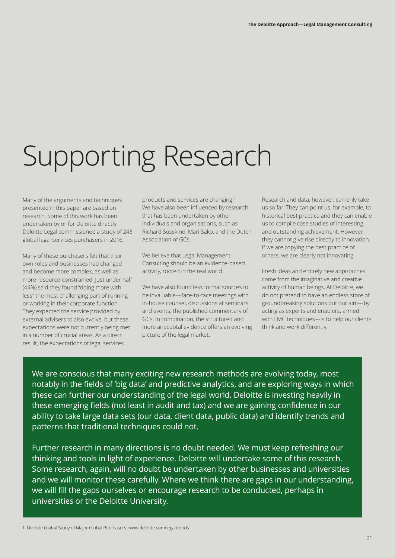## Supporting Research

Many of the arguments and techniques presented in this paper are based on research. Some of this work has been undertaken by or for Deloitte directly. Deloitte Legal commissioned a study of 243 global legal services purchasers in 2016.

Many of these purchasers felt that their own roles and businesses had changed and become more complex, as well as more resource-constrained. Just under half (44%) said they found "doing more with less" the most challenging part of running or working in their corporate function. They expected the service provided by external advisers to also evolve, but these expectations were not currently being met in a number of crucial areas. As a direct result, the expectations of legal services

products and services are changing.1 We have also been influenced by research that has been undertaken by other individuals and organisations, such as Richard Susskind, Mari Sako, and the Dutch Association of GCs.

We believe that Legal Management Consulting should be an evidence-based activity, rooted in the real world.

We have also found less formal sources to be invaluable—face-to-face meetings with in-house counsel, discussions at seminars and events, the published commentary of GCs. In combination, the structured and more anecdotal evidence offers an evolving picture of the legal market.

Research and data, however, can only take us so far. They can point us, for example, to historical best practice and they can enable us to compile case studies of interesting and outstanding achievement. However, they cannot give rise directly to innovation. If we are copying the best practice of others, we are clearly not innovating.

Fresh ideas and entirely new approaches come from the imaginative and creative activity of human beings. At Deloitte, we do not pretend to have an endless store of groundbreaking solutions but our aim—by acting as experts and enablers, armed with LMC techniques—is to help our clients think and work differently.

We are conscious that many exciting new research methods are evolving today, most notably in the fields of 'big data' and predictive analytics, and are exploring ways in which these can further our understanding of the legal world. Deloitte is investing heavily in these emerging fields (not least in audit and tax) and we are gaining confidence in our ability to take large data sets (our data, client data, public data) and identify trends and patterns that traditional techniques could not.

Further research in many directions is no doubt needed. We must keep refreshing our thinking and tools in light of experience. Deloitte will undertake some of this research. Some research, again, will no doubt be undertaken by other businesses and universities and we will monitor these carefully. Where we think there are gaps in our understanding, we will fill the gaps ourselves or encourage research to be conducted, perhaps in universities or the Deloitte University.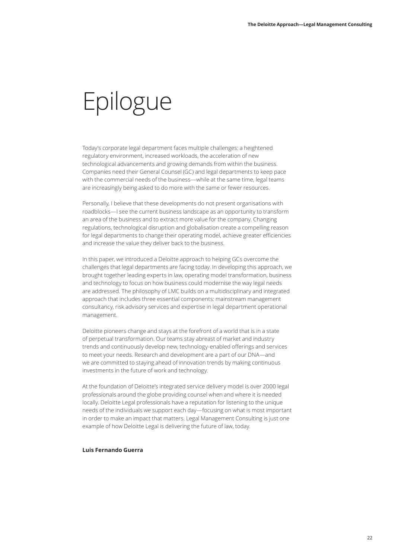### Epilogue

Today's corporate legal department faces multiple challenges: a heightened regulatory environment, increased workloads, the acceleration of new technological advancements and growing demands from within the business. Companies need their General Counsel (GC) and legal departments to keep pace with the commercial needs of the business—while at the same time, legal teams are increasingly being asked to do more with the same or fewer resources.

Personally, I believe that these developments do not present organisations with roadblocks—I see the current business landscape as an opportunity to transform an area of the business and to extract more value for the company. Changing regulations, technological disruption and globalisation create a compelling reason for legal departments to change their operating model, achieve greater efficiencies and increase the value they deliver back to the business.

In this paper, we introduced a Deloitte approach to helping GCs overcome the challenges that legal departments are facing today. In developing this approach, we brought together leading experts in law, operating model transformation, business and technology to focus on how business could modernise the way legal needs are addressed. The philosophy of LMC builds on a multidisciplinary and integrated approach that includes three essential components: mainstream management consultancy, risk advisory services and expertise in legal department operational management.

Deloitte pioneers change and stays at the forefront of a world that is in a state of perpetual transformation. Our teams stay abreast of market and industry trends and continuously develop new, technology-enabled offerings and services to meet your needs. Research and development are a part of our DNA—and we are committed to staying ahead of innovation trends by making continuous investments in the future of work and technology.

At the foundation of Deloitte's integrated service delivery model is over 2000 legal professionals around the globe providing counsel when and where it is needed locally. Deloitte Legal professionals have a reputation for listening to the unique needs of the individuals we support each day—focusing on what is most important in order to make an impact that matters. Legal Management Consulting is just one example of how Deloitte Legal is delivering the future of law, today.

#### **Luis Fernando Guerra**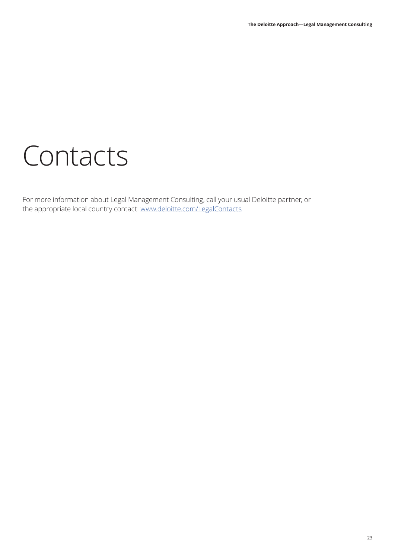## Contacts

For more information about Legal Management Consulting, call your usual Deloitte partner, or the appropriate local country contact: [www.deloitte.com/LegalContacts](http://www.deloitte.com/LegalContacts)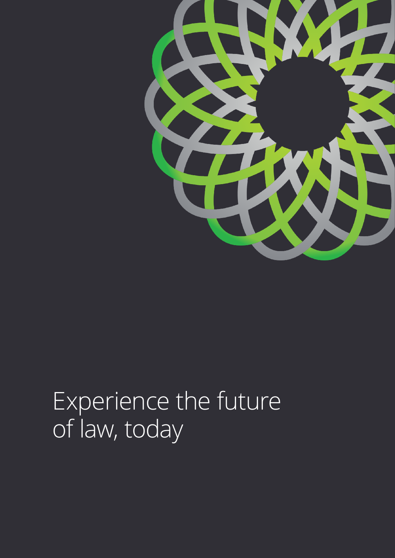

## Experience the future of law, today